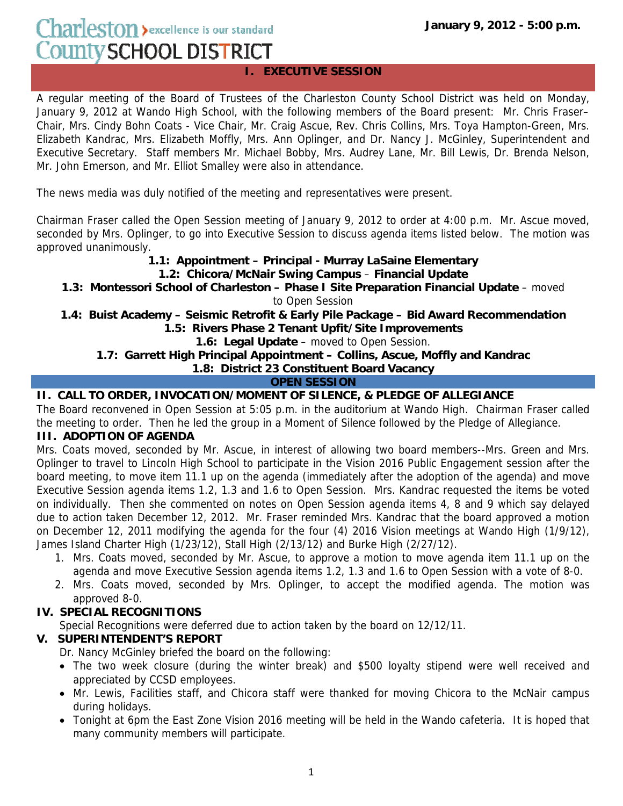# Charleston > excellence is our standard County SCHOOL DISTRICT

# **I. EXECUTIVE SESSION**

A regular meeting of the Board of Trustees of the Charleston County School District was held on Monday, January 9, 2012 at Wando High School, with the following members of the Board present: Mr. Chris Fraser– Chair, Mrs. Cindy Bohn Coats - Vice Chair, Mr. Craig Ascue, Rev. Chris Collins, Mrs. Toya Hampton-Green, Mrs. Elizabeth Kandrac, Mrs. Elizabeth Moffly, Mrs. Ann Oplinger, and Dr. Nancy J. McGinley, Superintendent and Executive Secretary. Staff members Mr. Michael Bobby, Mrs. Audrey Lane, Mr. Bill Lewis, Dr. Brenda Nelson, Mr. John Emerson, and Mr. Elliot Smalley were also in attendance.

The news media was duly notified of the meeting and representatives were present.

Chairman Fraser called the Open Session meeting of January 9, 2012 to order at 4:00 p.m. Mr. Ascue moved, seconded by Mrs. Oplinger, to go into Executive Session to discuss agenda items listed below. The motion was approved unanimously.

## **1.1: Appointment – Principal - Murray LaSaine Elementary**

**1.2: Chicora/McNair Swing Campus** – **Financial Update**

**1.3: Montessori School of Charleston – Phase I Site Preparation Financial Update** – moved

to Open Session

**1.4: Buist Academy – Seismic Retrofit & Early Pile Package – Bid Award Recommendation 1.5: Rivers Phase 2 Tenant Upfit/Site Improvements**

**1.6: Legal Update** – moved to Open Session.

## **1.7: Garrett High Principal Appointment – Collins, Ascue, Moffly and Kandrac**

**1.8: District 23 Constituent Board Vacancy**

## **OPEN SESSION**

## **II. CALL TO ORDER, INVOCATION/MOMENT OF SILENCE, & PLEDGE OF ALLEGIANCE**

The Board reconvened in Open Session at 5:05 p.m. in the auditorium at Wando High. Chairman Fraser called the meeting to order. Then he led the group in a Moment of Silence followed by the Pledge of Allegiance.

## **III. ADOPTION OF AGENDA**

Mrs. Coats moved, seconded by Mr. Ascue, in interest of allowing two board members--Mrs. Green and Mrs. Oplinger to travel to Lincoln High School to participate in the Vision 2016 Public Engagement session after the board meeting, to move item 11.1 up on the agenda (immediately after the adoption of the agenda) and move Executive Session agenda items 1.2, 1.3 and 1.6 to Open Session. Mrs. Kandrac requested the items be voted on individually. Then she commented on notes on Open Session agenda items 4, 8 and 9 which say delayed due to action taken December 12, 2012. Mr. Fraser reminded Mrs. Kandrac that the board approved a motion on December 12, 2011 modifying the agenda for the four (4) 2016 Vision meetings at Wando High (1/9/12), James Island Charter High (1/23/12), Stall High (2/13/12) and Burke High (2/27/12).

- 1. Mrs. Coats moved, seconded by Mr. Ascue, to approve a motion to move agenda item 11.1 up on the agenda and move Executive Session agenda items 1.2, 1.3 and 1.6 to Open Session with a vote of 8-0.
- 2. Mrs. Coats moved, seconded by Mrs. Oplinger, to accept the modified agenda. The motion was approved 8-0.

# **IV. SPECIAL RECOGNITIONS**

Special Recognitions were deferred due to action taken by the board on 12/12/11.

# **V. SUPERINTENDENT'S REPORT**

Dr. Nancy McGinley briefed the board on the following:

- The two week closure (during the winter break) and \$500 loyalty stipend were well received and appreciated by CCSD employees.
- Mr. Lewis, Facilities staff, and Chicora staff were thanked for moving Chicora to the McNair campus during holidays.
- Tonight at 6pm the East Zone Vision 2016 meeting will be held in the Wando cafeteria. It is hoped that many community members will participate.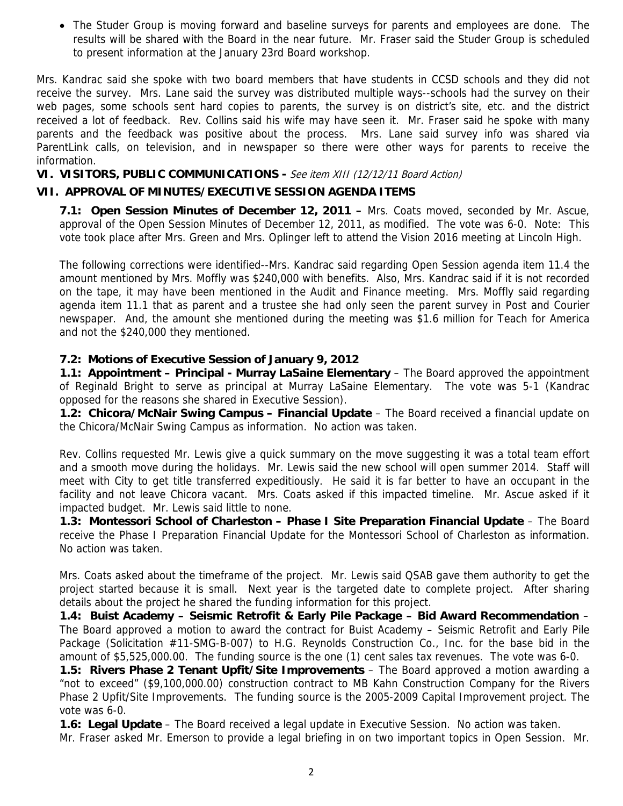• The Studer Group is moving forward and baseline surveys for parents and employees are done. The results will be shared with the Board in the near future. Mr. Fraser said the Studer Group is scheduled to present information at the January 23rd Board workshop.

Mrs. Kandrac said she spoke with two board members that have students in CCSD schools and they did not receive the survey. Mrs. Lane said the survey was distributed multiple ways--schools had the survey on their web pages, some schools sent hard copies to parents, the survey is on district's site, etc. and the district received a lot of feedback. Rev. Collins said his wife may have seen it. Mr. Fraser said he spoke with many parents and the feedback was positive about the process. Mrs. Lane said survey info was shared via ParentLink calls, on television, and in newspaper so there were other ways for parents to receive the information.

**VI. VISITORS, PUBLIC COMMUNICATIONS -** See item XIII (12/12/11 Board Action)

#### **VII. APPROVAL OF MINUTES/EXECUTIVE SESSION AGENDA ITEMS**

**7.1: Open Session Minutes of December 12, 2011 –** Mrs. Coats moved, seconded by Mr. Ascue, approval of the Open Session Minutes of December 12, 2011, as modified. The vote was 6-0. Note: This vote took place after Mrs. Green and Mrs. Oplinger left to attend the Vision 2016 meeting at Lincoln High.

The following corrections were identified--Mrs. Kandrac said regarding Open Session agenda item 11.4 the amount mentioned by Mrs. Moffly was \$240,000 with benefits. Also, Mrs. Kandrac said if it is not recorded on the tape, it may have been mentioned in the Audit and Finance meeting. Mrs. Moffly said regarding agenda item 11.1 that as parent and a trustee she had only seen the parent survey in Post and Courier newspaper. And, the amount she mentioned during the meeting was \$1.6 million for Teach for America and not the \$240,000 they mentioned.

#### **7.2: Motions of Executive Session of January 9, 2012**

**1.1: Appointment – Principal - Murray LaSaine Elementary** – The Board approved the appointment of Reginald Bright to serve as principal at Murray LaSaine Elementary. The vote was 5-1 (Kandrac opposed for the reasons she shared in Executive Session).

**1.2: Chicora/McNair Swing Campus – Financial Update** – The Board received a financial update on the Chicora/McNair Swing Campus as information. No action was taken.

Rev. Collins requested Mr. Lewis give a quick summary on the move suggesting it was a total team effort and a smooth move during the holidays. Mr. Lewis said the new school will open summer 2014. Staff will meet with City to get title transferred expeditiously. He said it is far better to have an occupant in the facility and not leave Chicora vacant. Mrs. Coats asked if this impacted timeline. Mr. Ascue asked if it impacted budget. Mr. Lewis said little to none.

**1.3: Montessori School of Charleston – Phase I Site Preparation Financial Update** – The Board receive the Phase I Preparation Financial Update for the Montessori School of Charleston as information. No action was taken.

Mrs. Coats asked about the timeframe of the project. Mr. Lewis said QSAB gave them authority to get the project started because it is small. Next year is the targeted date to complete project. After sharing details about the project he shared the funding information for this project.

**1.4: Buist Academy – Seismic Retrofit & Early Pile Package – Bid Award Recommendation** – The Board approved a motion to award the contract for Buist Academy – Seismic Retrofit and Early Pile Package (Solicitation #11-SMG-B-007) to H.G. Reynolds Construction Co., Inc. for the base bid in the amount of \$5,525,000.00. The funding source is the one (1) cent sales tax revenues. The vote was 6-0.

**1.5: Rivers Phase 2 Tenant Upfit/Site Improvements** – The Board approved a motion awarding a "not to exceed" (\$9,100,000.00) construction contract to MB Kahn Construction Company for the Rivers Phase 2 Upfit/Site Improvements. The funding source is the 2005-2009 Capital Improvement project. The vote was 6-0.

**1.6: Legal Update** – The Board received a legal update in Executive Session. No action was taken. Mr. Fraser asked Mr. Emerson to provide a legal briefing in on two important topics in Open Session. Mr.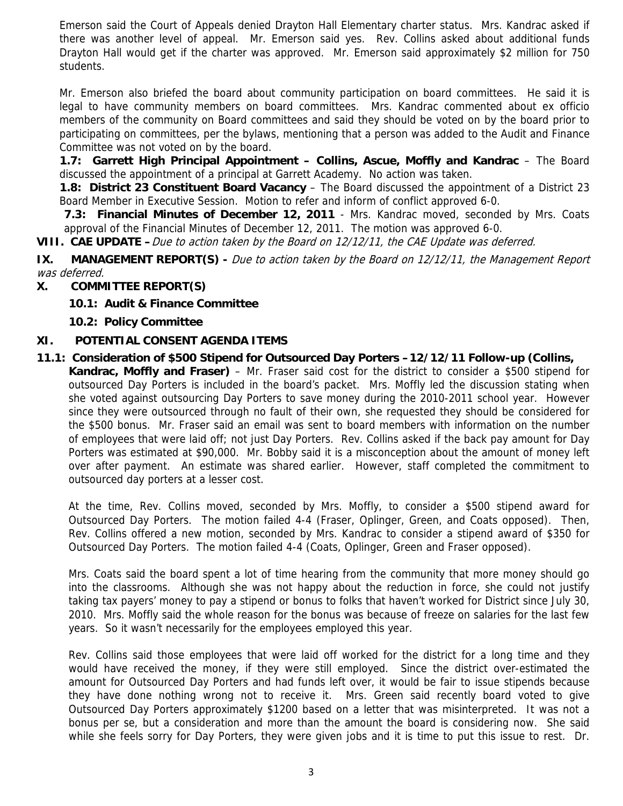Emerson said the Court of Appeals denied Drayton Hall Elementary charter status. Mrs. Kandrac asked if there was another level of appeal. Mr. Emerson said yes. Rev. Collins asked about additional funds Drayton Hall would get if the charter was approved. Mr. Emerson said approximately \$2 million for 750 students.

Mr. Emerson also briefed the board about community participation on board committees. He said it is legal to have community members on board committees. Mrs. Kandrac commented about ex officio members of the community on Board committees and said they should be voted on by the board prior to participating on committees, per the bylaws, mentioning that a person was added to the Audit and Finance Committee was not voted on by the board.

**1.7: Garrett High Principal Appointment – Collins, Ascue, Moffly and Kandrac** – The Board discussed the appointment of a principal at Garrett Academy. No action was taken.

**1.8: District 23 Constituent Board Vacancy** – The Board discussed the appointment of a District 23 Board Member in Executive Session. Motion to refer and inform of conflict approved 6-0.

**7.3: Financial Minutes of December 12, 2011** - Mrs. Kandrac moved, seconded by Mrs. Coats approval of the Financial Minutes of December 12, 2011. The motion was approved 6-0.

**VIII. CAE UPDATE –**Due to action taken by the Board on 12/12/11, the CAE Update was deferred.

**IX. MANAGEMENT REPORT(S) -** Due to action taken by the Board on 12/12/11, the Management Report was deferred.

#### **X. COMMITTEE REPORT(S)**

- **10.1: Audit & Finance Committee**
- **10.2: Policy Committee**

#### **XI. POTENTIAL CONSENT AGENDA ITEMS**

**11.1: Consideration of \$500 Stipend for Outsourced Day Porters –12/12/11 Follow-up (Collins, Kandrac, Moffly and Fraser)** – Mr. Fraser said cost for the district to consider a \$500 stipend for outsourced Day Porters is included in the board's packet. Mrs. Moffly led the discussion stating when she voted against outsourcing Day Porters to save money during the 2010-2011 school year. However since they were outsourced through no fault of their own, she requested they should be considered for the \$500 bonus. Mr. Fraser said an email was sent to board members with information on the number of employees that were laid off; not just Day Porters. Rev. Collins asked if the back pay amount for Day Porters was estimated at \$90,000. Mr. Bobby said it is a misconception about the amount of money left over after payment. An estimate was shared earlier. However, staff completed the commitment to outsourced day porters at a lesser cost.

At the time, Rev. Collins moved, seconded by Mrs. Moffly, to consider a \$500 stipend award for Outsourced Day Porters. The motion failed 4-4 (Fraser, Oplinger, Green, and Coats opposed). Then, Rev. Collins offered a new motion, seconded by Mrs. Kandrac to consider a stipend award of \$350 for Outsourced Day Porters. The motion failed 4-4 (Coats, Oplinger, Green and Fraser opposed).

Mrs. Coats said the board spent a lot of time hearing from the community that more money should go into the classrooms. Although she was not happy about the reduction in force, she could not justify taking tax payers' money to pay a stipend or bonus to folks that haven't worked for District since July 30, 2010. Mrs. Moffly said the whole reason for the bonus was because of freeze on salaries for the last few years. So it wasn't necessarily for the employees employed this year.

Rev. Collins said those employees that were laid off worked for the district for a long time and they would have received the money, if they were still employed. Since the district over-estimated the amount for Outsourced Day Porters and had funds left over, it would be fair to issue stipends because they have done nothing wrong not to receive it. Mrs. Green said recently board voted to give Outsourced Day Porters approximately \$1200 based on a letter that was misinterpreted. It was not a bonus per se, but a consideration and more than the amount the board is considering now. She said while she feels sorry for Day Porters, they were given jobs and it is time to put this issue to rest. Dr.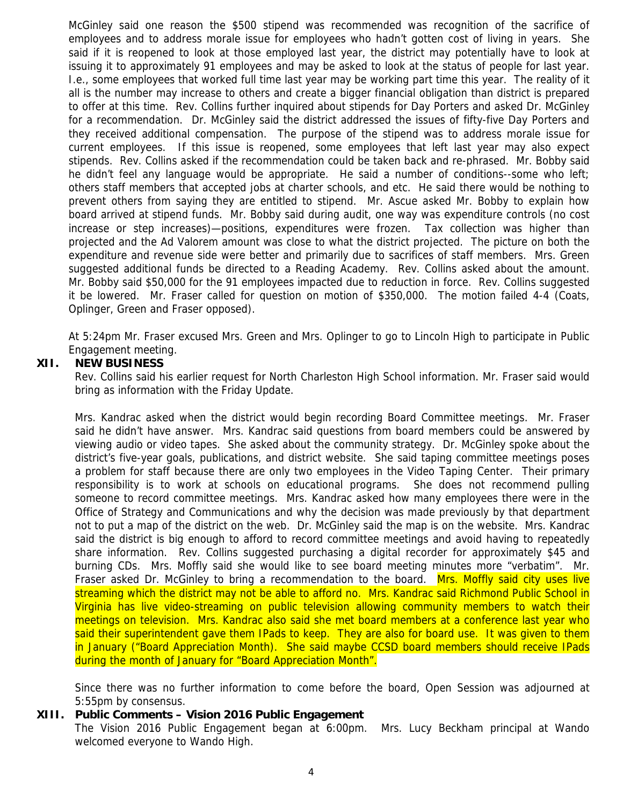McGinley said one reason the \$500 stipend was recommended was recognition of the sacrifice of employees and to address morale issue for employees who hadn't gotten cost of living in years. She said if it is reopened to look at those employed last year, the district may potentially have to look at issuing it to approximately 91 employees and may be asked to look at the status of people for last year. I.e., some employees that worked full time last year may be working part time this year. The reality of it all is the number may increase to others and create a bigger financial obligation than district is prepared to offer at this time. Rev. Collins further inquired about stipends for Day Porters and asked Dr. McGinley for a recommendation. Dr. McGinley said the district addressed the issues of fifty-five Day Porters and they received additional compensation. The purpose of the stipend was to address morale issue for current employees. If this issue is reopened, some employees that left last year may also expect stipends. Rev. Collins asked if the recommendation could be taken back and re-phrased. Mr. Bobby said he didn't feel any language would be appropriate. He said a number of conditions--some who left; others staff members that accepted jobs at charter schools, and etc. He said there would be nothing to prevent others from saying they are entitled to stipend. Mr. Ascue asked Mr. Bobby to explain how board arrived at stipend funds. Mr. Bobby said during audit, one way was expenditure controls (no cost increase or step increases)—positions, expenditures were frozen. Tax collection was higher than projected and the Ad Valorem amount was close to what the district projected. The picture on both the expenditure and revenue side were better and primarily due to sacrifices of staff members. Mrs. Green suggested additional funds be directed to a Reading Academy. Rev. Collins asked about the amount. Mr. Bobby said \$50,000 for the 91 employees impacted due to reduction in force. Rev. Collins suggested it be lowered. Mr. Fraser called for question on motion of \$350,000. The motion failed 4-4 (Coats, Oplinger, Green and Fraser opposed).

At 5:24pm Mr. Fraser excused Mrs. Green and Mrs. Oplinger to go to Lincoln High to participate in Public Engagement meeting.

#### **XII. NEW BUSINESS**

Rev. Collins said his earlier request for North Charleston High School information. Mr. Fraser said would bring as information with the Friday Update.

Mrs. Kandrac asked when the district would begin recording Board Committee meetings. Mr. Fraser said he didn't have answer. Mrs. Kandrac said questions from board members could be answered by viewing audio or video tapes. She asked about the community strategy. Dr. McGinley spoke about the district's five-year goals, publications, and district website. She said taping committee meetings poses a problem for staff because there are only two employees in the Video Taping Center. Their primary responsibility is to work at schools on educational programs. She does not recommend pulling someone to record committee meetings. Mrs. Kandrac asked how many employees there were in the Office of Strategy and Communications and why the decision was made previously by that department not to put a map of the district on the web. Dr. McGinley said the map is on the website. Mrs. Kandrac said the district is big enough to afford to record committee meetings and avoid having to repeatedly share information. Rev. Collins suggested purchasing a digital recorder for approximately \$45 and burning CDs. Mrs. Moffly said she would like to see board meeting minutes more "verbatim". Mr. Fraser asked Dr. McGinley to bring a recommendation to the board. Mrs. Moffly said city uses live streaming which the district may not be able to afford no. Mrs. Kandrac said Richmond Public School in Virginia has live video-streaming on public television allowing community members to watch their meetings on television. Mrs. Kandrac also said she met board members at a conference last year who said their superintendent gave them IPads to keep. They are also for board use. It was given to them in January ("Board Appreciation Month). She said maybe CCSD board members should receive IPads during the month of January for "Board Appreciation Month".

Since there was no further information to come before the board, Open Session was adjourned at 5:55pm by consensus.

#### **XIII. Public Comments – Vision 2016 Public Engagement**

The Vision 2016 Public Engagement began at 6:00pm. Mrs. Lucy Beckham principal at Wando welcomed everyone to Wando High.